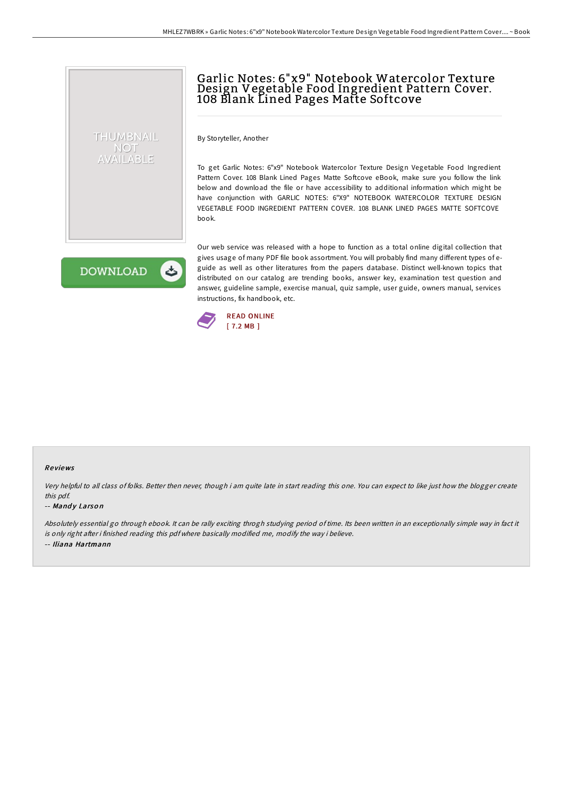# Garlic Notes: 6"x9" Notebook Watercolor Texture Design Vegetable Food Ingredient Pattern Cover. 108 Blank Lined Pages Matte Softcove

By Storyteller, Another

To get Garlic Notes: 6"x9" Notebook Watercolor Texture Design Vegetable Food Ingredient Pattern Cover. 108 Blank Lined Pages Matte Softcove eBook, make sure you follow the link below and download the file or have accessibility to additional information which might be have conjunction with GARLIC NOTES: 6"X9" NOTEBOOK WATERCOLOR TEXTURE DESIGN VEGETABLE FOOD INGREDIENT PATTERN COVER. 108 BLANK LINED PAGES MATTE SOFTCOVE book.

**DOWNLOAD** 

ٹ

THUMBNAIL NOT AVAILABLE

> Our web service was released with a hope to function as a total online digital collection that gives usage of many PDF file book assortment. You will probably find many different types of eguide as well as other literatures from the papers database. Distinct well-known topics that distributed on our catalog are trending books, answer key, examination test question and answer, guideline sample, exercise manual, quiz sample, user guide, owners manual, services instructions, fix handbook, etc.



#### Re views

Very helpful to all class of folks. Better then never, though i am quite late in start reading this one. You can expect to like just how the blogger create this pdf.

#### -- Mandy Larson

Absolutely essential go through ebook. It can be rally exciting throgh studying period of time. Its been written in an exceptionally simple way in fact it is only right after i finished reading this pdf where basically modified me, modify the way i believe. -- Iliana Hartmann